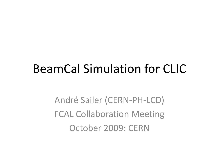#### BeamCal Simulation for CLIC

André Sailer (CERN-PH-LCD) FCAL Collaboration Meeting October 2009: CERN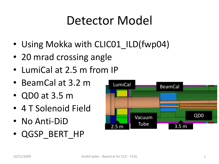### Detector Model

- Using Mokka with CLIC01 ILD(fwp04)
- 20 mrad crossing angle
- LumiCal at 2.5 m from IP
- BeamCal at 3.2 m Lumical
- QD0 at 3.5 m
- 4 T Solenoid Field
- No Anti-DiD
- QGSP\_BERT\_HP

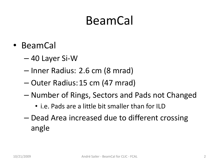### BeamCal

- BeamCal
	- 40 Layer Si-W
	- Inner Radius: 2.6 cm (8 mrad)
	- Outer Radius:15 cm (47 mrad)
	- Number of Rings, Sectors and Pads not Changed
		- i.e. Pads are a little bit smaller than for ILD
	- Dead Area increased due to different crossing angle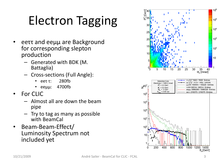# Electron Tagging

- eeττ and eeµµ are Background for corresponding slepton production
	- Generated with BDK (M. Battaglia)
	- Cross-sections (Full Angle):
		- eeτ τ: 280fb
		- eeµµ: 4700fb
- For CLIC
	- Almost all are down the beam pipe
	- Try to tag as many as possible with BeamCal
- Beam-Beam-Effect/ Luminosity Spectrum not included yet

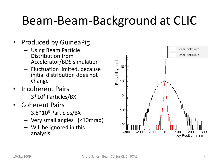### Beam-Beam-Background at CLIC

- Produced by GuineaPig
	- Using Beam Particle Distribution from Accelerator/BDS simulation
	- Fluctuation limited, because initial distribution does not change
- Incoherent Pairs
	- 3\*10<sup>5</sup> Particles/BX
- Coherent Pairs
	- 3.8\*10<sup>8</sup> Particles/BX
	- Very small angles (<10mrad)
	- Will be ignored in this analysis

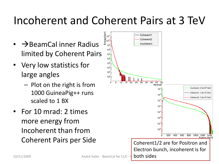#### Incoherent and Coherent Pairs at 3 TeV

- $\rightarrow$  BeamCal inner Radius limited by Coherent Pairs
- Very low statistics for large angles
	- Plot on the right is from 1000 GuineaPig++ runs scaled to 1 BX
- For 10 mrad: 2 times more energy from Incoherent than from



both sides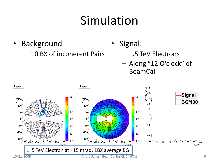### Simulation

- Background
	- 10 BX of incoherent Pairs

• Signal:

- 1.5 TeV Electrons
- Along "12 O'clock" of BeamCal

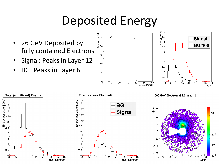### Deposited Energy

- 26 GeV Deposited by fully contained Electrons
- Signal: Peaks in Layer 12
- BG: Peaks in Layer 6



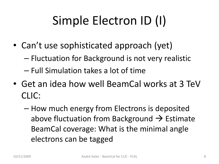# Simple Electron ID (I)

- Can't use sophisticated approach (yet)
	- Fluctuation for Background is not very realistic
	- Full Simulation takes a lot of time
- Get an idea how well BeamCal works at 3 TeV CLIC:
	- How much energy from Electrons is deposited above fluctuation from Background  $\rightarrow$  Estimate BeamCal coverage: What is the minimal angle electrons can be tagged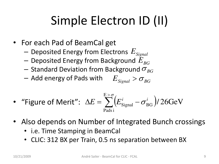# Simple Electron ID (II)

- For each Pad of BeamCal get
	- Deposited Energy from Electrons *ESignal*
	- $-$  Deposited Energy from Background  $\overline{E}_{BG}$
	- $-$  Standard Deviation from Background  $\widetilde{\sigma_{_{BG}}}$
	- $-$  Add energy of Pads with  $E_{Signal} > \sigma_{BG}$  $E_{Signal} > \sigma_{BG}$

• "Figure of Merit": 
$$
\Delta E = \sum_{\text{Padsi}}^{E > \sigma} (E_{\text{Signal}}^i - \sigma_{BG}^i)/26 \text{GeV}
$$

- Also depends on Number of Integrated Bunch crossings
	- i.e. Time Stamping in BeamCal
	- CLIC: 312 BX per Train, 0.5 ns separation between BX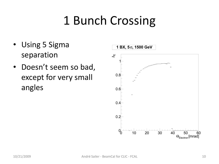# 1 Bunch Crossing

- Using 5 Sigma separation
- Doesn't seem so bad, except for very small angles

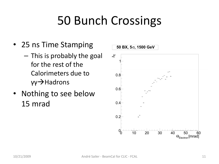## 50 Bunch Crossings

- 25 ns Time Stamping
	- This is probably the goal for the rest of the Calorimeters due to γγ $\rightarrow$ Hadrons
- Nothing to see below 15 mrad

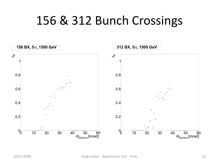### 156 & 312 Bunch Crossings

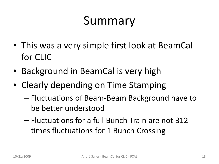# Summary

- This was a very simple first look at BeamCal for CLIC
- Background in BeamCal is very high
- Clearly depending on Time Stamping
	- Fluctuations of Beam-Beam Background have to be better understood
	- Fluctuations for a full Bunch Train are not 312 times fluctuations for 1 Bunch Crossing